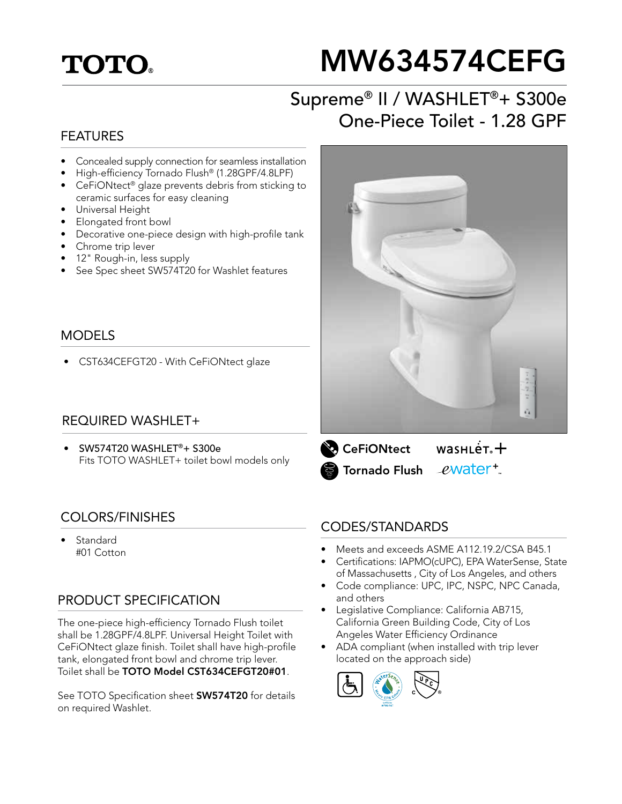## **TOTO**

# MW634574CEFG

## Supreme® II / WASHLET®+ S300e One-Piece Toilet - 1.28 GPF

#### FEATURES

- Concealed supply connection for seamless installation
- High-efficiency Tornado Flush® (1.28GPF/4.8LPF)
- CeFiONtect® glaze prevents debris from sticking to ceramic surfaces for easy cleaning
- Universal Height
- Elongated front bowl
- Decorative one-piece design with high-profile tank
- Chrome trip lever
- 12" Rough-in, less supply
- See Spec sheet SW574T20 for Washlet features

#### MODELS

• CST634CEFGT20 - With CeFiONtect glaze

#### REQUIRED WASHLET+

• SW574T20 WASHLET®+ S300e Fits TOTO WASHLET+ toilet bowl models only

#### COLORS/FINISHES

**Standard** #01 Cotton

#### PRODUCT SPECIFICATION

The one-piece high-efficiency Tornado Flush toilet shall be 1.28GPF/4.8LPF. Universal Height Toilet with CeFiONtect glaze finish. Toilet shall have high-profile tank, elongated front bowl and chrome trip lever. Toilet shall be TOTO Model CST634CEFGT20#01.

See TOTO Specification sheet **SW574T20** for details on required Washlet.





#### CODES/STANDARDS

- Meets and exceeds ASME A112.19.2/CSA B45.1
- Certifications: IAPMO(cUPC), EPA WaterSense, State of Massachusetts , City of Los Angeles, and others
- Code compliance: UPC, IPC, NSPC, NPC Canada, and others
- Legislative Compliance: California AB715, California Green Building Code, City of Los Angeles Water Efficiency Ordinance
- ADA compliant (when installed with trip lever located on the approach side)